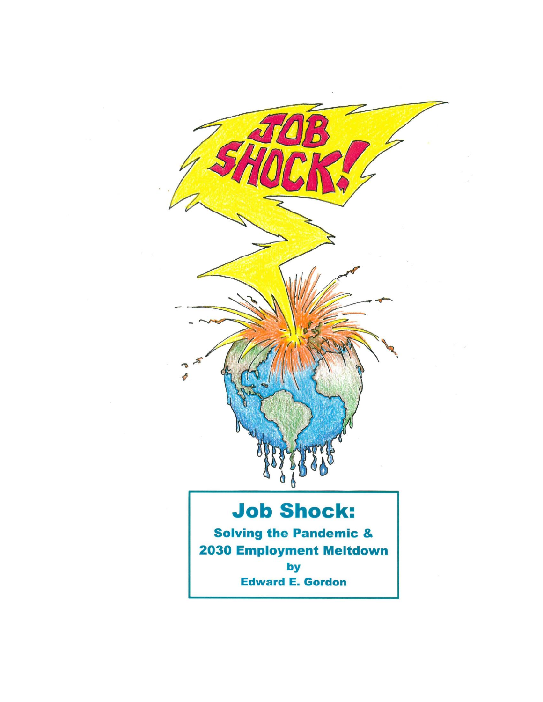

# **Job Shock:**

**Solving the Pandemic & 2030 Employment Meltdown** by **Edward E. Gordon**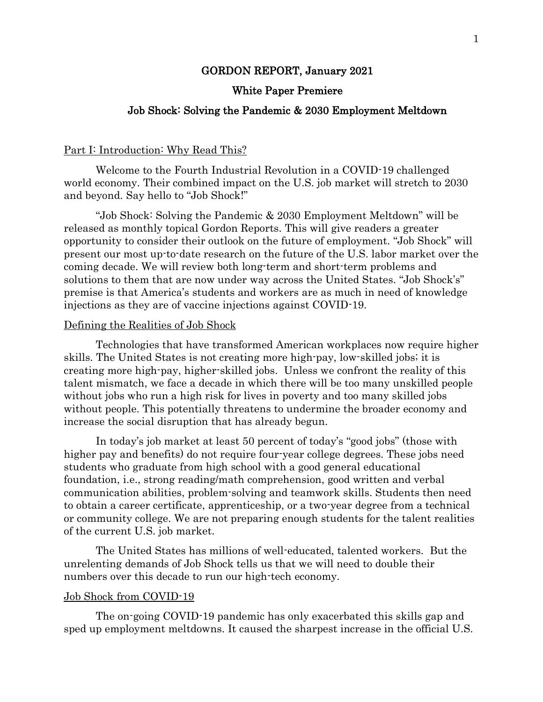### GORDON REPORT, January 2021

## White Paper Premiere

## Job Shock: Solving the Pandemic & 2030 Employment Meltdown

#### Part I: Introduction: Why Read This?

Welcome to the Fourth Industrial Revolution in a COVID-19 challenged world economy. Their combined impact on the U.S. job market will stretch to 2030 and beyond. Say hello to "Job Shock!"

"Job Shock: Solving the Pandemic & 2030 Employment Meltdown" will be released as monthly topical Gordon Reports. This will give readers a greater opportunity to consider their outlook on the future of employment. "Job Shock" will present our most up-to-date research on the future of the U.S. labor market over the coming decade. We will review both long-term and short-term problems and solutions to them that are now under way across the United States. "Job Shock's" premise is that America's students and workers are as much in need of knowledge injections as they are of vaccine injections against COVID-19.

## Defining the Realities of Job Shock

Technologies that have transformed American workplaces now require higher skills. The United States is not creating more high-pay, low-skilled jobs; it is creating more high-pay, higher-skilled jobs. Unless we confront the reality of this talent mismatch, we face a decade in which there will be too many unskilled people without jobs who run a high risk for lives in poverty and too many skilled jobs without people. This potentially threatens to undermine the broader economy and increase the social disruption that has already begun.

In today's job market at least 50 percent of today's "good jobs" (those with higher pay and benefits) do not require four-year college degrees. These jobs need students who graduate from high school with a good general educational foundation, i.e., strong reading/math comprehension, good written and verbal communication abilities, problem-solving and teamwork skills. Students then need to obtain a career certificate, apprenticeship, or a two-year degree from a technical or community college. We are not preparing enough students for the talent realities of the current U.S. job market.

The United States has millions of well-educated, talented workers. But the unrelenting demands of Job Shock tells us that we will need to double their numbers over this decade to run our high-tech economy.

#### Job Shock from COVID-19

The on-going COVID-19 pandemic has only exacerbated this skills gap and sped up employment meltdowns. It caused the sharpest increase in the official U.S.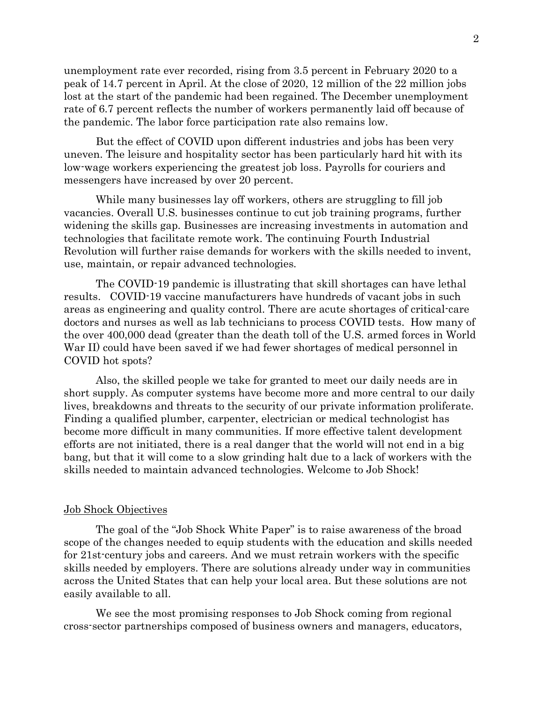unemployment rate ever recorded, rising from 3.5 percent in February 2020 to a peak of 14.7 percent in April. At the close of 2020, 12 million of the 22 million jobs lost at the start of the pandemic had been regained. The December unemployment rate of 6.7 percent reflects the number of workers permanently laid off because of the pandemic. The labor force participation rate also remains low.

But the effect of COVID upon different industries and jobs has been very uneven. The leisure and hospitality sector has been particularly hard hit with its low-wage workers experiencing the greatest job loss. Payrolls for couriers and messengers have increased by over 20 percent.

While many businesses lay off workers, others are struggling to fill job vacancies. Overall U.S. businesses continue to cut job training programs, further widening the skills gap. Businesses are increasing investments in automation and technologies that facilitate remote work. The continuing Fourth Industrial Revolution will further raise demands for workers with the skills needed to invent, use, maintain, or repair advanced technologies.

The COVID-19 pandemic is illustrating that skill shortages can have lethal results. COVID-19 vaccine manufacturers have hundreds of vacant jobs in such areas as engineering and quality control. There are acute shortages of critical-care doctors and nurses as well as lab technicians to process COVID tests. How many of the over 400,000 dead (greater than the death toll of the U.S. armed forces in World War II) could have been saved if we had fewer shortages of medical personnel in COVID hot spots?

Also, the skilled people we take for granted to meet our daily needs are in short supply. As computer systems have become more and more central to our daily lives, breakdowns and threats to the security of our private information proliferate. Finding a qualified plumber, carpenter, electrician or medical technologist has become more difficult in many communities. If more effective talent development efforts are not initiated, there is a real danger that the world will not end in a big bang, but that it will come to a slow grinding halt due to a lack of workers with the skills needed to maintain advanced technologies. Welcome to Job Shock!

#### Job Shock Objectives

The goal of the "Job Shock White Paper" is to raise awareness of the broad scope of the changes needed to equip students with the education and skills needed for 21st-century jobs and careers. And we must retrain workers with the specific skills needed by employers. There are solutions already under way in communities across the United States that can help your local area. But these solutions are not easily available to all.

We see the most promising responses to Job Shock coming from regional cross-sector partnerships composed of business owners and managers, educators,